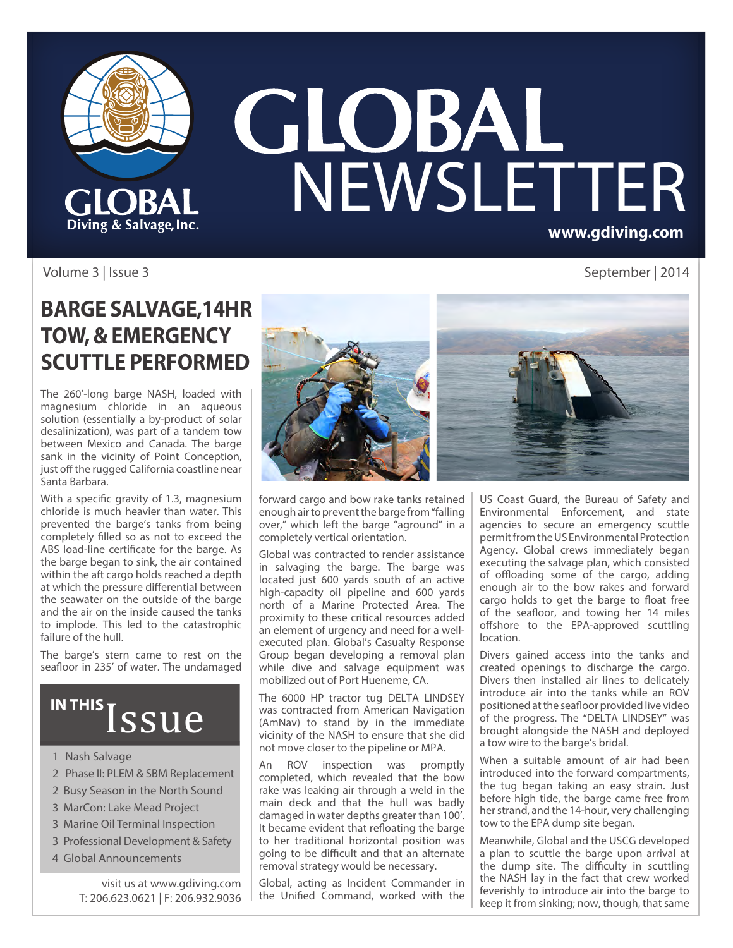

# **GLOBAL**<br>NEWSLETTER **www.gdiving.com**

#### Volume 3 | Issue 3 September | 2014

### **BARGE SALVAGE,14HR TOW, & EMERGENCY SCUTTLE PERFORMED**

The 260'-long barge NASH, loaded with magnesium chloride in an aqueous solution (essentially a by-product of solar desalinization), was part of a tandem tow between Mexico and Canada. The barge sank in the vicinity of Point Conception, just off the rugged California coastline near Santa Barbara.

With a specific gravity of 1.3, magnesium chloride is much heavier than water. This prevented the barge's tanks from being completely filled so as not to exceed the ABS load-line certificate for the barge. As the barge began to sink, the air contained within the aft cargo holds reached a depth at which the pressure differential between the seawater on the outside of the barge and the air on the inside caused the tanks to implode. This led to the catastrophic failure of the hull.

The barge's stern came to rest on the seafloor in 235' of water. The undamaged

## IN THIS ISSUE

- 1 Nash Salvage
- 2 Phase II: PLEM & SBM Replacement
- 2 Busy Season in the North Sound
- 3 MarCon: Lake Mead Project
- 3 Marine Oil Terminal Inspection
- 3 Professional Development & Safety
- 4 Global Announcements

visit us at www.gdiving.com T: 206.623.0621 | F: 206.932.9036



forward cargo and bow rake tanks retained enough air to prevent the barge from "falling over," which left the barge "aground" in a completely vertical orientation.

Global was contracted to render assistance in salvaging the barge. The barge was located just 600 yards south of an active high-capacity oil pipeline and 600 yards north of a Marine Protected Area. The proximity to these critical resources added an element of urgency and need for a wellexecuted plan. Global's Casualty Response Group began developing a removal plan while dive and salvage equipment was mobilized out of Port Hueneme, CA.

The 6000 HP tractor tug DELTA LINDSEY was contracted from American Navigation (AmNav) to stand by in the immediate vicinity of the NASH to ensure that she did not move closer to the pipeline or MPA.

An ROV inspection was promptly completed, which revealed that the bow rake was leaking air through a weld in the main deck and that the hull was badly damaged in water depths greater than 100'. It became evident that refloating the barge to her traditional horizontal position was going to be difficult and that an alternate removal strategy would be necessary.

Global, acting as Incident Commander in the Unified Command, worked with the

US Coast Guard, the Bureau of Safety and Environmental Enforcement, and state agencies to secure an emergency scuttle permit from the US Environmental Protection Agency. Global crews immediately began executing the salvage plan, which consisted of offloading some of the cargo, adding enough air to the bow rakes and forward cargo holds to get the barge to float free of the seafloor, and towing her 14 miles offshore to the EPA-approved scuttling location.

Divers gained access into the tanks and created openings to discharge the cargo. Divers then installed air lines to delicately introduce air into the tanks while an ROV positioned at the seafloor provided live video of the progress. The "DELTA LINDSEY" was brought alongside the NASH and deployed a tow wire to the barge's bridal.

When a suitable amount of air had been introduced into the forward compartments, the tug began taking an easy strain. Just before high tide, the barge came free from her strand, and the 14-hour, very challenging tow to the EPA dump site began.

Meanwhile, Global and the USCG developed a plan to scuttle the barge upon arrival at the dump site. The difficulty in scuttling the NASH lay in the fact that crew worked feverishly to introduce air into the barge to keep it from sinking; now, though, that same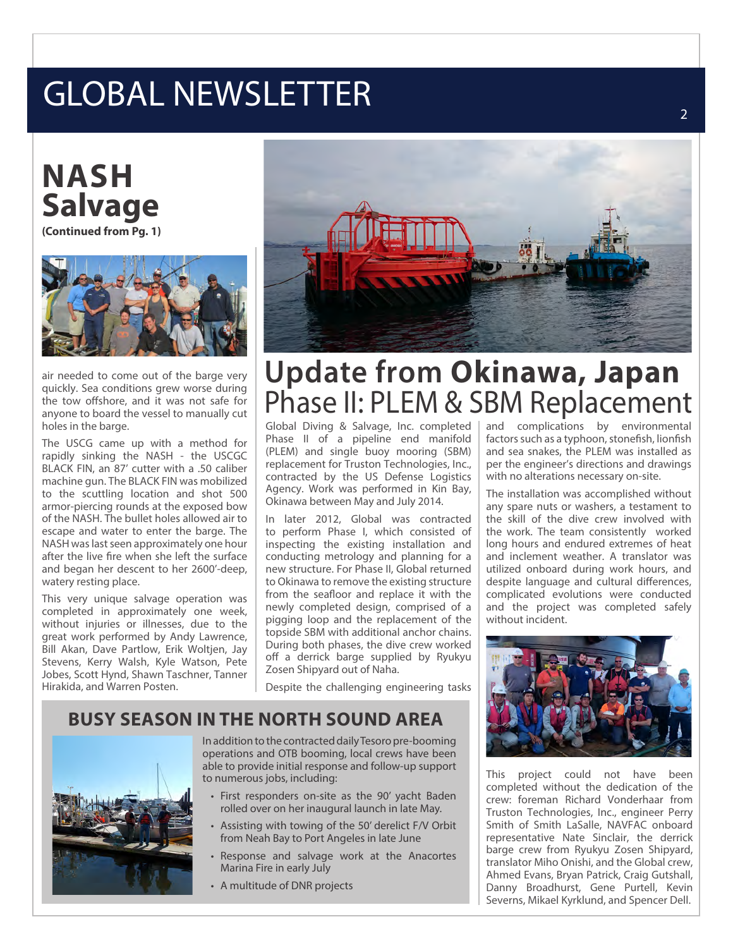## GLOBAL NEWSLETTER

## **NASH Salvage**

**(Continued from Pg. 1)**



air needed to come out of the barge very quickly. Sea conditions grew worse during the tow offshore, and it was not safe for anyone to board the vessel to manually cut holes in the barge.

The USCG came up with a method for rapidly sinking the NASH - the USCGC BLACK FIN, an 87' cutter with a .50 caliber machine gun. The BLACK FIN was mobilized to the scuttling location and shot 500 armor-piercing rounds at the exposed bow of the NASH. The bullet holes allowed air to escape and water to enter the barge. The NASH was last seen approximately one hour after the live fire when she left the surface and began her descent to her 2600'-deep, watery resting place.

This very unique salvage operation was completed in approximately one week, without injuries or illnesses, due to the great work performed by Andy Lawrence, Bill Akan, Dave Partlow, Erik Woltjen, Jay Stevens, Kerry Walsh, Kyle Watson, Pete Jobes, Scott Hynd, Shawn Taschner, Tanner Hirakida, and Warren Posten.



## **Update from Okinawa, Japan** Phase II: PLEM & SBM Replacement

Global Diving & Salvage, Inc. completed Phase II of a pipeline end manifold (PLEM) and single buoy mooring (SBM) replacement for Truston Technologies, Inc., contracted by the US Defense Logistics Agency. Work was performed in Kin Bay, Okinawa between May and July 2014.

In later 2012, Global was contracted to perform Phase I, which consisted of inspecting the existing installation and conducting metrology and planning for a new structure. For Phase II, Global returned to Okinawa to remove the existing structure from the seafloor and replace it with the newly completed design, comprised of a pigging loop and the replacement of the topside SBM with additional anchor chains. During both phases, the dive crew worked off a derrick barge supplied by Ryukyu Zosen Shipyard out of Naha.

Despite the challenging engineering tasks

#### **BUSY SEASON IN THE NORTH SOUND AREA**



In addition to the contracted daily Tesoro pre-booming operations and OTB booming, local crews have been able to provide initial response and follow-up support to numerous jobs, including:

- First responders on-site as the 90' yacht Baden rolled over on her inaugural launch in late May.
- Assisting with towing of the 50' derelict F/V Orbit from Neah Bay to Port Angeles in late June
- Response and salvage work at the Anacortes Marina Fire in early July
- A multitude of DNR projects

and complications by environmental factors such as a typhoon, stonefish, lionfish and sea snakes, the PLEM was installed as per the engineer's directions and drawings with no alterations necessary on-site.

The installation was accomplished without any spare nuts or washers, a testament to the skill of the dive crew involved with the work. The team consistently worked long hours and endured extremes of heat and inclement weather. A translator was utilized onboard during work hours, and despite language and cultural differences, complicated evolutions were conducted and the project was completed safely without incident.



This project could not have been completed without the dedication of the crew: foreman Richard Vonderhaar from Truston Technologies, Inc., engineer Perry Smith of Smith LaSalle, NAVFAC onboard representative Nate Sinclair, the derrick barge crew from Ryukyu Zosen Shipyard, translator Miho Onishi, and the Global crew, Ahmed Evans, Bryan Patrick, Craig Gutshall, Danny Broadhurst, Gene Purtell, Kevin Severns, Mikael Kyrklund, and Spencer Dell.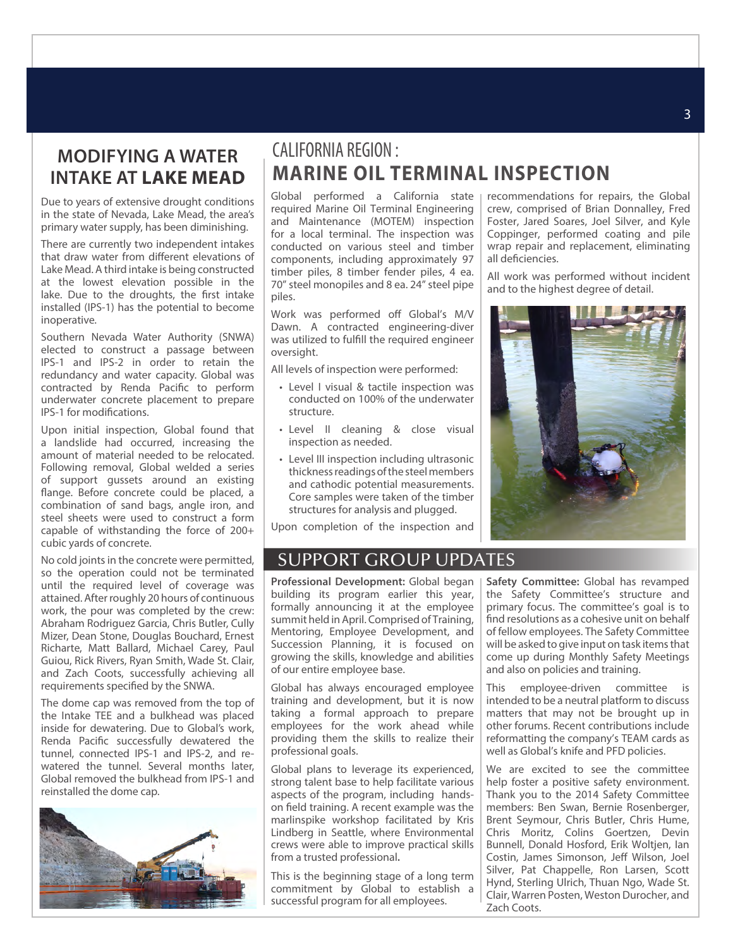#### **MODIFYING A WATER INTAKE AT LAKE MEAD**

Due to years of extensive drought conditions in the state of Nevada, Lake Mead, the area's primary water supply, has been diminishing.

There are currently two independent intakes that draw water from different elevations of Lake Mead. A third intake is being constructed at the lowest elevation possible in the lake. Due to the droughts, the first intake installed (IPS-1) has the potential to become inoperative.

Southern Nevada Water Authority (SNWA) elected to construct a passage between IPS-1 and IPS-2 in order to retain the redundancy and water capacity. Global was contracted by Renda Pacific to perform underwater concrete placement to prepare IPS-1 for modifications.

Upon initial inspection, Global found that a landslide had occurred, increasing the amount of material needed to be relocated. Following removal, Global welded a series of support gussets around an existing flange. Before concrete could be placed, a combination of sand bags, angle iron, and steel sheets were used to construct a form capable of withstanding the force of 200+ cubic yards of concrete.

No cold joints in the concrete were permitted, so the operation could not be terminated until the required level of coverage was attained. After roughly 20 hours of continuous work, the pour was completed by the crew: Abraham Rodriguez Garcia, Chris Butler, Cully Mizer, Dean Stone, Douglas Bouchard, Ernest Richarte, Matt Ballard, Michael Carey, Paul Guiou, Rick Rivers, Ryan Smith, Wade St. Clair, and Zach Coots, successfully achieving all requirements specified by the SNWA.

The dome cap was removed from the top of the Intake TEE and a bulkhead was placed inside for dewatering. Due to Global's work, Renda Pacific successfully dewatered the tunnel, connected IPS-1 and IPS-2, and rewatered the tunnel. Several months later, Global removed the bulkhead from IPS-1 and reinstalled the dome cap.



#### CALIFORNIA REGION : **MARINE OIL TERMINAL INSPECTION**

Global performed a California state required Marine Oil Terminal Engineering and Maintenance (MOTEM) inspection for a local terminal. The inspection was conducted on various steel and timber components, including approximately 97 timber piles, 8 timber fender piles, 4 ea. 70" steel monopiles and 8 ea. 24" steel pipe piles.

Work was performed off Global's M/V Dawn. A contracted engineering-diver was utilized to fulfill the required engineer oversight.

All levels of inspection were performed:

- Level I visual & tactile inspection was conducted on 100% of the underwater structure.
- Level II cleaning & close visual inspection as needed.
- Level III inspection including ultrasonic thickness readings of the steel members and cathodic potential measurements. Core samples were taken of the timber structures for analysis and plugged.

Upon completion of the inspection and

#### SUPPORT GROUP UPDATES

**Professional Development:** Global began building its program earlier this year, formally announcing it at the employee summit held in April. Comprised of Training, Mentoring, Employee Development, and Succession Planning, it is focused on growing the skills, knowledge and abilities of our entire employee base.

Global has always encouraged employee training and development, but it is now taking a formal approach to prepare employees for the work ahead while providing them the skills to realize their professional goals.

Global plans to leverage its experienced, strong talent base to help facilitate various aspects of the program, including handson field training. A recent example was the marlinspike workshop facilitated by Kris Lindberg in Seattle, where Environmental crews were able to improve practical skills from a trusted professional**.** 

This is the beginning stage of a long term commitment by Global to establish a successful program for all employees.

**Safety Committee:** Global has revamped the Safety Committee's structure and primary focus. The committee's goal is to find resolutions as a cohesive unit on behalf of fellow employees. The Safety Committee will be asked to give input on task items that come up during Monthly Safety Meetings and also on policies and training.

This employee-driven committee is intended to be a neutral platform to discuss matters that may not be brought up in other forums. Recent contributions include reformatting the company's TEAM cards as well as Global's knife and PFD policies.

We are excited to see the committee help foster a positive safety environment. Thank you to the 2014 Safety Committee members: Ben Swan, Bernie Rosenberger, Brent Seymour, Chris Butler, Chris Hume, Chris Moritz, Colins Goertzen, Devin Bunnell, Donald Hosford, Erik Woltjen, Ian Costin, James Simonson, Jeff Wilson, Joel Silver, Pat Chappelle, Ron Larsen, Scott Hynd, Sterling Ulrich, Thuan Ngo, Wade St. Clair, Warren Posten, Weston Durocher, and Zach Coots.



recommendations for repairs, the Global crew, comprised of Brian Donnalley, Fred Foster, Jared Soares, Joel Silver, and Kyle Coppinger, performed coating and pile wrap repair and replacement, eliminating

All work was performed without incident

all deficiencies.